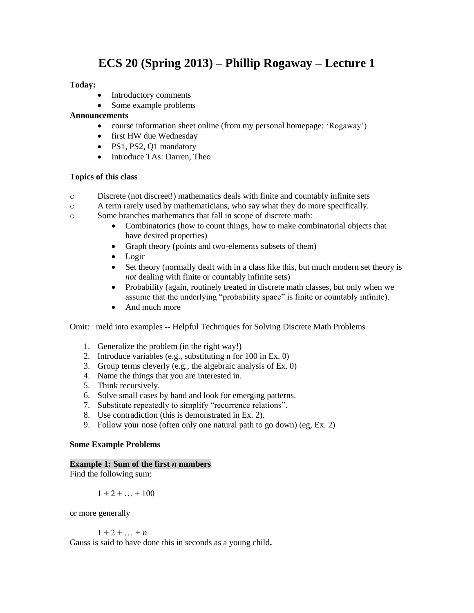# **ECS 20 (Spring 2013) – Phillip Rogaway – Lecture 1**

## **Today:**

- Introductory comments
- Some example problems

## **Announcements**

- course information sheet online (from my personal homepage: 'Rogaway')
- first HW due Wednesday
- PS1, PS2, Q1 mandatory
- Introduce TAs: Darren, Theo

## **Topics of this class**

- o Discrete (not discreet!) mathematics deals with finite and countably infinite sets
- o A term rarely used by mathematicians, who say what they do more specifically.
- o Some branches mathematics that fall in scope of discrete math:
	- Combinatorics (how to count things, how to make combinatorial objects that have desired properties)
	- Graph theory (points and two-elements subsets of them)
	- Logic
	- Set theory (normally dealt with in a class like this, but much modern set theory is *not* dealing with finite or countably infinite sets)
	- Probability (again, routinely treated in discrete math classes, but only when we assume that the underlying "probability space" is finite or countably infinite).
	- And much more

Omit: meld into examples -- Helpful Techniques for Solving Discrete Math Problems

- 1. Generalize the problem (in the right way!)
- 2. Introduce variables (e.g., substituting n for 100 in Ex. 0)
- 3. Group terms cleverly (e.g., the algebraic analysis of Ex. 0)
- 4. Name the things that you are interested in.
- 5. Think recursively.
- 6. Solve small cases by hand and look for emerging patterns.
- 7. Substitute repeatedly to simplify "recurrence relations".
- 8. Use contradiction (this is demonstrated in Ex. 2).
- 9. Follow your nose (often only one natural path to go down) (eg, Ex. 2)

## **Some Example Problems**

## **Example 1: Sum of the first** *n* **numbers**

Find the following sum:

$$
1+2+\ldots+100
$$

or more generally

$$
1+2+\ldots+n
$$

Gauss is said to have done this in seconds as a young child**.**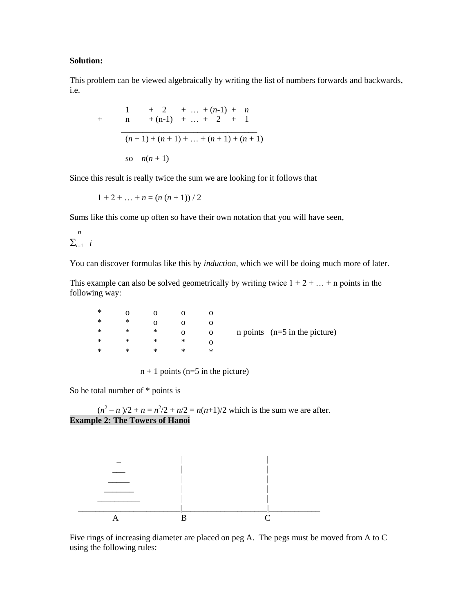#### **Solution:**

This problem can be viewed algebraically by writing the list of numbers forwards and backwards, i.e.

+ 
$$
\frac{1}{n}
$$
 +  $\frac{2}{n+1}$  + ... +  $\frac{(n-1) + n}{2 + 1}$   
\n $\frac{(n+1) + (n+1) + ... + (n+1) + (n+1)}{2}$   
\nso  $n(n+1)$ 

Since this result is really twice the sum we are looking for it follows that

 $1 + 2 + ... + n = (n (n + 1)) / 2$ 

Sums like this come up often so have their own notation that you will have seen,

$$
\frac{n}{\sum_{i=1}^{n} i}
$$

You can discover formulas like this by *induction*, which we will be doing much more of later.

This example can also be solved geometrically by writing twice  $1 + 2 + ... + n$  points in the following way:

| ∗ |   |   |   |   |                                    |
|---|---|---|---|---|------------------------------------|
| ∗ | ∗ |   |   |   |                                    |
| ∗ | ∗ | ∗ |   | О | $n$ points ( $n=5$ in the picture) |
| ∗ | ∗ | ∗ | ∗ |   |                                    |
| ∗ | × | × | × | ∗ |                                    |
|   |   |   |   |   |                                    |

 $n + 1$  points (n=5 in the picture)

So he total number of \* points is

 $(n^2 - n)/2 + n = n^2/2 + n/2 = n(n+1)/2$  which is the sum we are after. **Example 2: The Towers of Hanoi**



Five rings of increasing diameter are placed on peg A. The pegs must be moved from A to C using the following rules: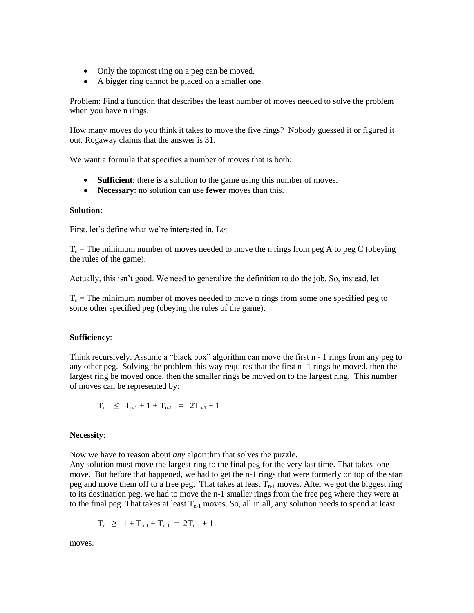- Only the topmost ring on a peg can be moved.
- A bigger ring cannot be placed on a smaller one.

Problem: Find a function that describes the least number of moves needed to solve the problem when you have n rings.

How many moves do you think it takes to move the five rings? Nobody guessed it or figured it out. Rogaway claims that the answer is 31.

We want a formula that specifies a number of moves that is both:

- **Sufficient**: there **is** a solution to the game using this number of moves.
- **Necessary**: no solution can use **fewer** moves than this.

## **Solution:**

First, let's define what we're interested in. Let

 $T_n$  = The minimum number of moves needed to move the n rings from peg A to peg C (obeying the rules of the game).

Actually, this isn't good. We need to generalize the definition to do the job. So, instead, let

 $T_n$  = The minimum number of moves needed to move n rings from some one specified peg to some other specified peg (obeying the rules of the game).

## **Sufficiency**:

Think recursively. Assume a "black box" algorithm can move the first n - 1 rings from any peg to any other peg. Solving the problem this way requires that the first n -1 rings be moved, then the largest ring be moved once, then the smaller rings be moved on to the largest ring. This number of moves can be represented by:

$$
T_n \leq T_{n-1} + 1 + T_{n-1} = 2T_{n-1} + 1
$$

## **Necessity**:

Now we have to reason about *any* algorithm that solves the puzzle.

Any solution must move the largest ring to the final peg for the very last time. That takes one move. But before that happened, we had to get the n-1 rings that were formerly on top of the start peg and move them off to a free peg. That takes at least  $T_{n-1}$  moves. After we got the biggest ring to its destination peg, we had to move the n-1 smaller rings from the free peg where they were at to the final peg. That takes at least  $T_{n-1}$  moves. So, all in all, any solution needs to spend at least

$$
T_n \ \geq \ 1 + T_{n\text{-}1} + T_{n\text{-}1} \ = \ 2T_{n\text{-}1} + 1
$$

moves.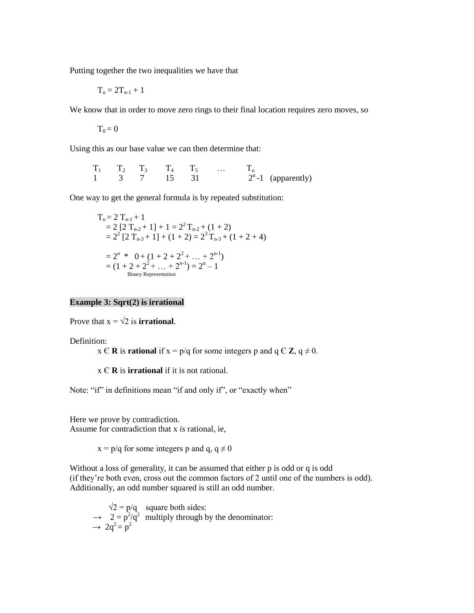Putting together the two inequalities we have that

$$
T_n=2T_{n\text{-}1}+1
$$

We know that in order to move zero rings to their final location requires zero moves, so

 $T_0 = 0$ 

Using this as our base value we can then determine that:

 $T_1$   $T_2$   $T_3$   $T_4$   $T_5$  …  $T_n$ 1 3 7 15 31  $2^{n}$ -1 (apparently)

One way to get the general formula is by repeated substitution:

$$
T_n = 2 T_{n-1} + 1
$$
  
= 2 [2 T<sub>n-2</sub> + 1] + 1 = 2<sup>2</sup> T<sub>n-2</sub> + (1 + 2)  
= 2<sup>2</sup> [2 T<sub>n-3</sub> + 1] + (1 + 2) = 2<sup>3</sup> T<sub>n-3</sub> + (1 + 2 + 4)  
= 2<sup>n</sup> \* 0 + (1 + 2 + 2<sup>2</sup> + ... + 2<sup>n-1</sup>)  
= (1 + 2 + 2<sup>2</sup> + ... + 2<sup>n-1</sup>) = 2<sup>n</sup> - 1  
Binary Representation

#### **Example 3: Sqrt(2) is irrational**

Prove that  $x = \sqrt{2}$  is **irrational**.

Definition:

 $x \in \mathbb{R}$  is **rational** if  $x = p/q$  for some integers p and  $q \in \mathbb{Z}$ ,  $q \neq 0$ .

x Є **R** is **irrational** if it is not rational.

Note: "if" in definitions mean "if and only if", or "exactly when"

Here we prove by contradiction. Assume for contradiction that x *is* rational, ie,

 $x = p/q$  for some integers p and q, q  $\neq 0$ 

Without a loss of generality, it can be assumed that either p is odd or q is odd (if they're both even, cross out the common factors of 2 until one of the numbers is odd). Additionally, an odd number squared is still an odd number.

 $\sqrt{2} = p/q$  square both sides:  $\rightarrow$  2 =  $p^2/q^2$  multiply through by the denominator:  $\rightarrow 2q^2 = p^2$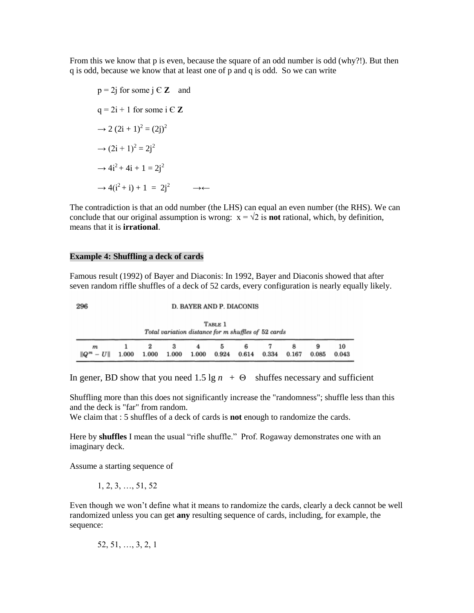From this we know that p is even, because the square of an odd number is odd (why?!). But then q is odd, because we know that at least one of p and q is odd. So we can write

 $p = 2j$  for some  $j \in \mathbb{Z}$  and  $q = 2i + 1$  for some  $i \in \mathbb{Z}$  $\rightarrow$  2 (2i + 1)<sup>2</sup> = (2j)<sup>2</sup>  $\rightarrow$   $(2i + 1)^2 = 2j^2$  $\rightarrow 4i^2 + 4i + 1 = 2i^2$  $\rightarrow 4(i^2 + i) + 1 = 2i^2 \rightarrow \leftarrow$ 

The contradiction is that an odd number (the LHS) can equal an even number (the RHS). We can conclude that our original assumption is wrong:  $x = \sqrt{2}$  is **not** rational, which, by definition, means that it is **irrational**.

#### **Example 4: Shuffling a deck of cards**

Famous result (1992) of Bayer and Diaconis: In 1992, Bayer and Diaconis showed that after seven random riffle shuffles of a deck of 52 cards, every configuration is nearly equally likely.

|   |  |   |   |   |   | Total variation distance for m shuffles of 52 cards |   |   |    |
|---|--|---|---|---|---|-----------------------------------------------------|---|---|----|
| m |  | з | 4 | 5 | 6 |                                                     | g | 9 | 10 |

In gener, BD show that you need 1.5 lg  $n + \Theta$  shuffes necessary and sufficient

Shuffling more than this does not significantly increase the "randomness"; shuffle less than this and the deck is "far" from random.

We claim that : 5 shuffles of a deck of cards is **not** enough to randomize the cards.

Here by **shuffles** I mean the usual "rifle shuffle." Prof. Rogaway demonstrates one with an imaginary deck.

Assume a starting sequence of

1, 2, 3, …, 51, 52

Even though we won't define what it means to randomize the cards, clearly a deck cannot be well randomized unless you can get **any** resulting sequence of cards, including, for example, the sequence:

52, 51, …, 3, 2, 1